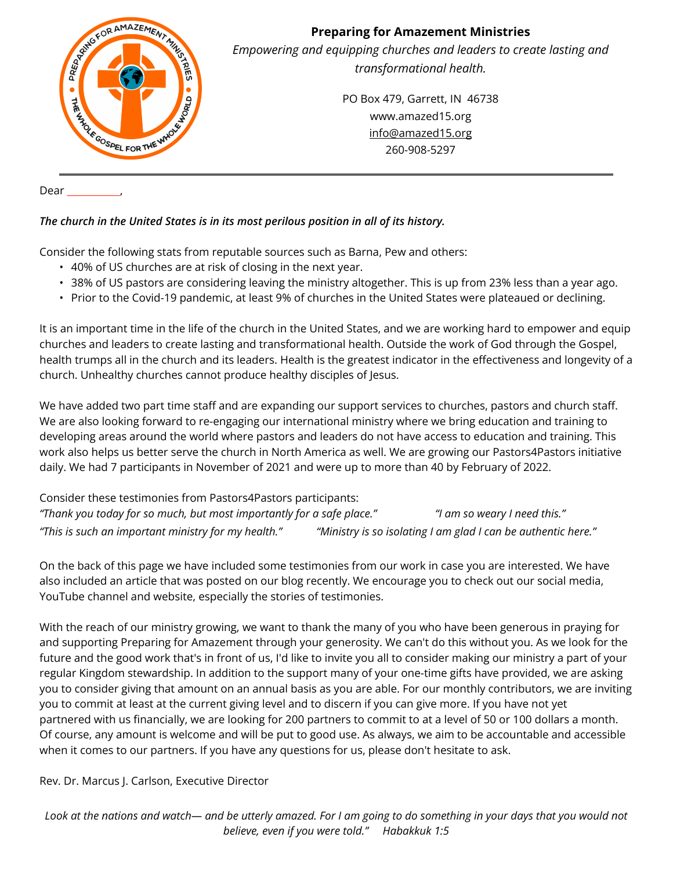

Dear \_\_\_\_\_\_\_\_\_\_\_,

#### *The church in the United States is in its most perilous position in all of its history.*

Consider the following stats from reputable sources such as Barna, Pew and others:

- 40% of US churches are at risk of closing in the next year.
- 38% of US pastors are considering leaving the ministry altogether. This is up from 23% less than a year ago.
- Prior to the Covid-19 pandemic, at least 9% of churches in the United States were plateaued or declining.

It is an important time in the life of the church in the United States, and we are working hard to empower and equip churches and leaders to create lasting and transformational health. Outside the work of God through the Gospel, health trumps all in the church and its leaders. Health is the greatest indicator in the effectiveness and longevity of a church. Unhealthy churches cannot produce healthy disciples of Jesus.

We have added two part time staff and are expanding our support services to churches, pastors and church staff. We are also looking forward to re-engaging our international ministry where we bring education and training to developing areas around the world where pastors and leaders do not have access to education and training. This work also helps us better serve the church in North America as well. We are growing our Pastors4Pastors initiative daily. We had 7 participants in November of 2021 and were up to more than 40 by February of 2022.

Consider these testimonies from Pastors4Pastors participants: *"Thank you today for so much, but most importantly for a safe place." "I am so weary I need this." "This is such an important ministry for my health." "Ministry is so isolating I am glad I can be authentic here."*

On the back of this page we have included some testimonies from our work in case you are interested. We have also included an article that was posted on our blog recently. We encourage you to check out our social media, YouTube channel and website, especially the stories of testimonies.

With the reach of our ministry growing, we want to thank the many of you who have been generous in praying for and supporting Preparing for Amazement through your generosity. We can't do this without you. As we look for the future and the good work that's in front of us, I'd like to invite you all to consider making our ministry a part of your regular Kingdom stewardship. In addition to the support many of your one-time gifts have provided, we are asking you to consider giving that amount on an annual basis as you are able. For our monthly contributors, we are inviting you to commit at least at the current giving level and to discern if you can give more. If you have not yet partnered with us financially, we are looking for 200 partners to commit to at a level of 50 or 100 dollars a month. Of course, any amount is welcome and will be put to good use. As always, we aim to be accountable and accessible when it comes to our partners. If you have any questions for us, please don't hesitate to ask.

Rev. Dr. Marcus J. Carlson, Executive Director

*Look at the nations and watch— and be utterly amazed. For I am going to do something in your days that you would not believe, even if you were told." Habakkuk 1:5*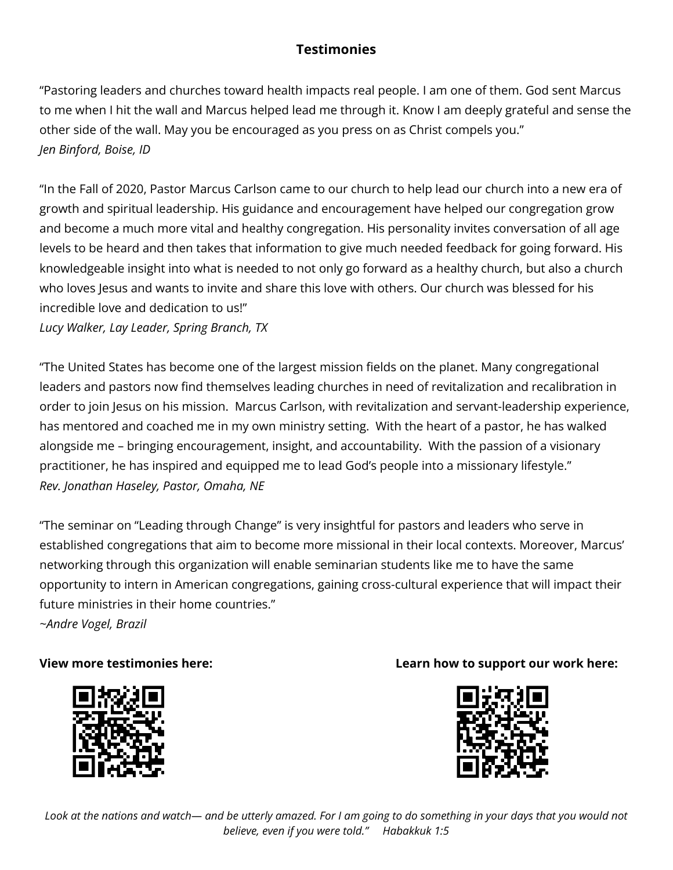# **Testimonies**

"Pastoring leaders and churches toward health impacts real people. I am one of them. God sent Marcus to me when I hit the wall and Marcus helped lead me through it. Know I am deeply grateful and sense the other side of the wall. May you be encouraged as you press on as Christ compels you." *Jen Binford, Boise, ID*

"In the Fall of 2020, Pastor Marcus Carlson came to our church to help lead our church into a new era of growth and spiritual leadership. His guidance and encouragement have helped our congregation grow and become a much more vital and healthy congregation. His personality invites conversation of all age levels to be heard and then takes that information to give much needed feedback for going forward. His knowledgeable insight into what is needed to not only go forward as a healthy church, but also a church who loves Jesus and wants to invite and share this love with others. Our church was blessed for his incredible love and dedication to us!"

*Lucy Walker, Lay Leader, Spring Branch, TX*

"The United States has become one of the largest mission fields on the planet. Many congregational leaders and pastors now find themselves leading churches in need of revitalization and recalibration in order to join Jesus on his mission. Marcus Carlson, with revitalization and servant-leadership experience, has mentored and coached me in my own ministry setting. With the heart of a pastor, he has walked alongside me – bringing encouragement, insight, and accountability. With the passion of a visionary practitioner, he has inspired and equipped me to lead God's people into a missionary lifestyle." *Rev. Jonathan Haseley, Pastor, Omaha, NE*

"The seminar on "Leading through Change" is very insightful for pastors and leaders who serve in established congregations that aim to become more missional in their local contexts. Moreover, Marcus' networking through this organization will enable seminarian students like me to have the same opportunity to intern in American congregations, gaining cross-cultural experience that will impact their future ministries in their home countries." *~Andre Vogel, Brazil*



## **View more testimonies here: Learn how to support our work here:**

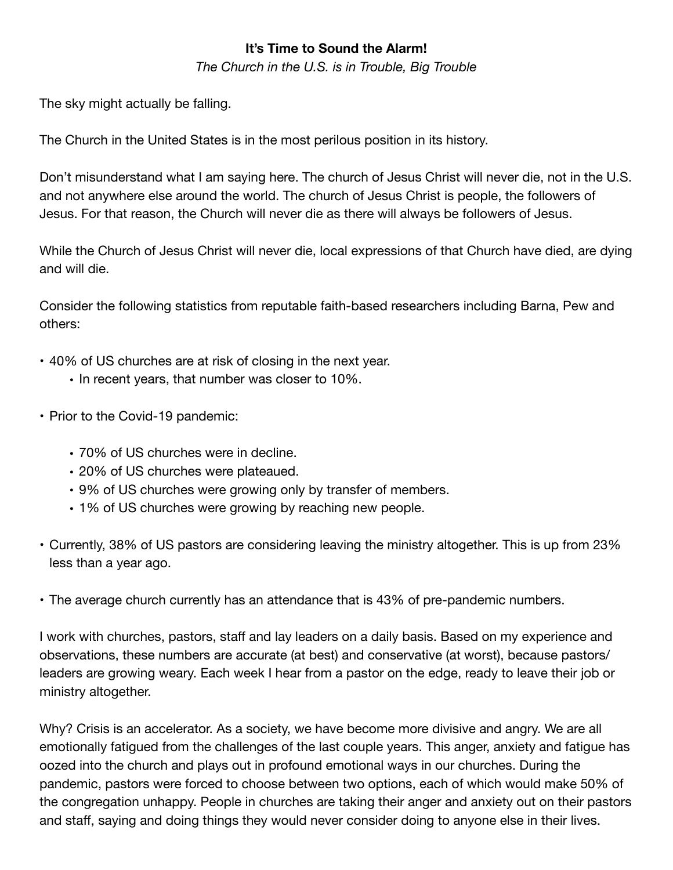### **It's Time to Sound the Alarm!**

*The Church in the U.S. is in Trouble, Big Trouble* 

The sky might actually be falling.

The Church in the United States is in the most perilous position in its history.

Don't misunderstand what I am saying here. The church of Jesus Christ will never die, not in the U.S. and not anywhere else around the world. The church of Jesus Christ is people, the followers of Jesus. For that reason, the Church will never die as there will always be followers of Jesus.

While the Church of Jesus Christ will never die, local expressions of that Church have died, are dying and will die.

Consider the following statistics from reputable faith-based researchers including Barna, Pew and others:

- 40% of US churches are at risk of closing in the next year.
	- In recent years, that number was closer to 10%.
- Prior to the Covid-19 pandemic:
	- 70% of US churches were in decline.
	- 20% of US churches were plateaued.
	- 9% of US churches were growing only by transfer of members.
	- 1% of US churches were growing by reaching new people.
- Currently, 38% of US pastors are considering leaving the ministry altogether. This is up from 23% less than a year ago.
- The average church currently has an attendance that is 43% of pre-pandemic numbers.

I work with churches, pastors, staff and lay leaders on a daily basis. Based on my experience and observations, these numbers are accurate (at best) and conservative (at worst), because pastors/ leaders are growing weary. Each week I hear from a pastor on the edge, ready to leave their job or ministry altogether.

Why? Crisis is an accelerator. As a society, we have become more divisive and angry. We are all emotionally fatigued from the challenges of the last couple years. This anger, anxiety and fatigue has oozed into the church and plays out in profound emotional ways in our churches. During the pandemic, pastors were forced to choose between two options, each of which would make 50% of the congregation unhappy. People in churches are taking their anger and anxiety out on their pastors and staff, saying and doing things they would never consider doing to anyone else in their lives.